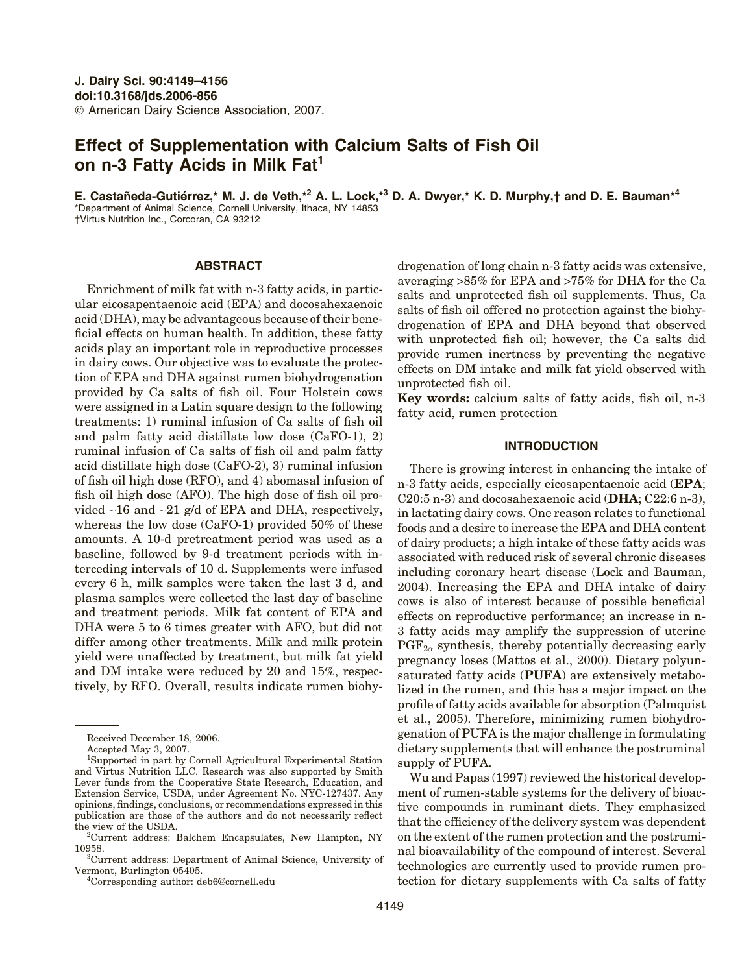# **Effect of Supplementation with Calcium Salts of Fish Oil on n-3 Fatty Acids in Milk Fat1**

**E. Castan˜ eda-Gutie´rrez,\* M. J. de Veth,\*2 A. L. Lock,\*<sup>3</sup> D. A. Dwyer,\* K. D. Murphy,† and D. E. Bauman\*<sup>4</sup>** \*Department of Animal Science, Cornell University, Ithaca, NY 14853 †Virtus Nutrition Inc., Corcoran, CA 93212

# **ABSTRACT**

Enrichment of milk fat with n-3 fatty acids, in particular eicosapentaenoic acid (EPA) and docosahexaenoic acid (DHA), may be advantageous because of their beneficial effects on human health. In addition, these fatty acids play an important role in reproductive processes in dairy cows. Our objective was to evaluate the protection of EPA and DHA against rumen biohydrogenation provided by Ca salts of fish oil. Four Holstein cows were assigned in a Latin square design to the following treatments: 1) ruminal infusion of Ca salts of fish oil and palm fatty acid distillate low dose (CaFO-1), 2) ruminal infusion of Ca salts of fish oil and palm fatty acid distillate high dose (CaFO-2), 3) ruminal infusion of fish oil high dose (RFO), and 4) abomasal infusion of fish oil high dose (AFO). The high dose of fish oil provided ∼16 and ∼21 g/d of EPA and DHA, respectively, whereas the low dose (CaFO-1) provided 50% of these amounts. A 10-d pretreatment period was used as a baseline, followed by 9-d treatment periods with interceding intervals of 10 d. Supplements were infused every 6 h, milk samples were taken the last 3 d, and plasma samples were collected the last day of baseline and treatment periods. Milk fat content of EPA and DHA were 5 to 6 times greater with AFO, but did not differ among other treatments. Milk and milk protein yield were unaffected by treatment, but milk fat yield and DM intake were reduced by 20 and 15%, respectively, by RFO. Overall, results indicate rumen biohy-

Corresponding author: deb6@cornell.edu

drogenation of long chain n-3 fatty acids was extensive, averaging >85% for EPA and >75% for DHA for the Ca salts and unprotected fish oil supplements. Thus, Ca salts of fish oil offered no protection against the biohydrogenation of EPA and DHA beyond that observed with unprotected fish oil; however, the Ca salts did provide rumen inertness by preventing the negative effects on DM intake and milk fat yield observed with unprotected fish oil.

**Key words:** calcium salts of fatty acids, fish oil, n-3 fatty acid, rumen protection

# **INTRODUCTION**

There is growing interest in enhancing the intake of n-3 fatty acids, especially eicosapentaenoic acid (**EPA**; C20:5 n-3) and docosahexaenoic acid (**DHA**; C22:6 n-3), in lactating dairy cows. One reason relates to functional foods and a desire to increase the EPA and DHA content of dairy products; a high intake of these fatty acids was associated with reduced risk of several chronic diseases including coronary heart disease (Lock and Bauman, 2004). Increasing the EPA and DHA intake of dairy cows is also of interest because of possible beneficial effects on reproductive performance; an increase in n-3 fatty acids may amplify the suppression of uterine  $PGF_{2\alpha}$  synthesis, thereby potentially decreasing early pregnancy loses (Mattos et al., 2000). Dietary polyunsaturated fatty acids (**PUFA**) are extensively metabolized in the rumen, and this has a major impact on the profile of fatty acids available for absorption (Palmquist et al., 2005). Therefore, minimizing rumen biohydrogenation of PUFA is the major challenge in formulating dietary supplements that will enhance the postruminal supply of PUFA.

Wu and Papas (1997) reviewed the historical development of rumen-stable systems for the delivery of bioactive compounds in ruminant diets. They emphasized that the efficiency of the delivery system was dependent on the extent of the rumen protection and the postruminal bioavailability of the compound of interest. Several technologies are currently used to provide rumen protection for dietary supplements with Ca salts of fatty

Received December 18, 2006.

Accepted May 3, 2007.

<sup>1</sup> Supported in part by Cornell Agricultural Experimental Station and Virtus Nutrition LLC. Research was also supported by Smith Lever funds from the Cooperative State Research, Education, and Extension Service, USDA, under Agreement No. NYC-127437. Any opinions, findings, conclusions, or recommendations expressed in this publication are those of the authors and do not necessarily reflect the view of the USDA.<br><sup>2</sup>Current address: Balchem Encapsulates, New Hampton, NY

<sup>10958.</sup> 

<sup>&</sup>lt;sup>3</sup>Current address: Department of Animal Science, University of Vermont, Burlington 05405.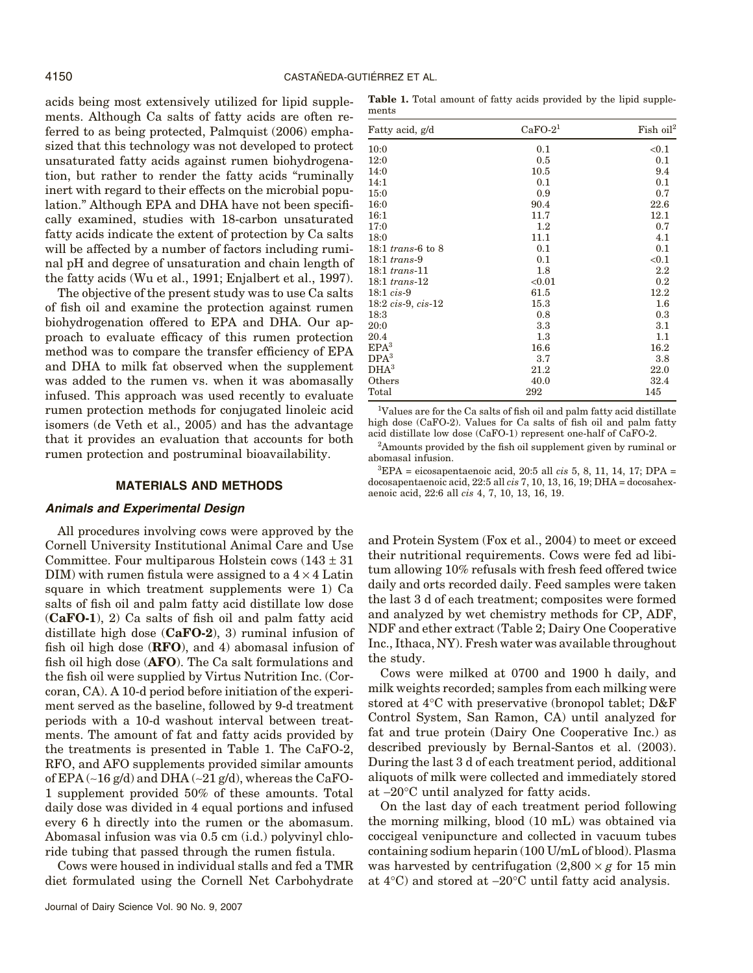acids being most extensively utilized for lipid supplements. Although Ca salts of fatty acids are often referred to as being protected, Palmquist (2006) emphasized that this technology was not developed to protect unsaturated fatty acids against rumen biohydrogenation, but rather to render the fatty acids "ruminally inert with regard to their effects on the microbial population." Although EPA and DHA have not been specifically examined, studies with 18-carbon unsaturated fatty acids indicate the extent of protection by Ca salts will be affected by a number of factors including ruminal pH and degree of unsaturation and chain length of the fatty acids (Wu et al., 1991; Enjalbert et al., 1997).

The objective of the present study was to use Ca salts of fish oil and examine the protection against rumen biohydrogenation offered to EPA and DHA. Our approach to evaluate efficacy of this rumen protection method was to compare the transfer efficiency of EPA and DHA to milk fat observed when the supplement was added to the rumen vs. when it was abomasally infused. This approach was used recently to evaluate rumen protection methods for conjugated linoleic acid isomers (de Veth et al., 2005) and has the advantage that it provides an evaluation that accounts for both rumen protection and postruminal bioavailability.

#### **MATERIALS AND METHODS**

#### *Animals and Experimental Design*

All procedures involving cows were approved by the Cornell University Institutional Animal Care and Use Committee. Four multiparous Holstein cows  $(143 \pm 31)$ DIM) with rumen fistula were assigned to a  $4 \times 4$  Latin square in which treatment supplements were 1) Ca salts of fish oil and palm fatty acid distillate low dose (**CaFO-1**), 2) Ca salts of fish oil and palm fatty acid distillate high dose (**CaFO-2**), 3) ruminal infusion of fish oil high dose (**RFO**), and 4) abomasal infusion of fish oil high dose (**AFO**). The Ca salt formulations and the fish oil were supplied by Virtus Nutrition Inc. (Corcoran, CA). A 10-d period before initiation of the experiment served as the baseline, followed by 9-d treatment periods with a 10-d washout interval between treatments. The amount of fat and fatty acids provided by the treatments is presented in Table 1. The CaFO-2, RFO, and AFO supplements provided similar amounts of EPA (∼16 g/d) and DHA (∼21 g/d), whereas the CaFO-1 supplement provided 50% of these amounts. Total daily dose was divided in 4 equal portions and infused every 6 h directly into the rumen or the abomasum. Abomasal infusion was via 0.5 cm (i.d.) polyvinyl chloride tubing that passed through the rumen fistula.

Cows were housed in individual stalls and fed a TMR diet formulated using the Cornell Net Carbohydrate

|       |  |  |  | <b>Table 1.</b> Total amount of fatty acids provided by the lipid supple- |  |  |
|-------|--|--|--|---------------------------------------------------------------------------|--|--|
| ments |  |  |  |                                                                           |  |  |

| Fatty acid, g/d                          | $CaFO-21$ | Fish oil <sup>2</sup> |
|------------------------------------------|-----------|-----------------------|
| 10:0                                     | 0.1       | < 0.1                 |
| 12:0                                     | 0.5       | 0.1                   |
| 14:0                                     | 10.5      | 9.4                   |
| 14:1                                     | 0.1       | 0.1                   |
| 15:0                                     | 0.9       | 0.7                   |
| 16:0                                     | 90.4      | 22.6                  |
| 16:1                                     | 11.7      | 12.1                  |
| 17:0                                     | $1.2\,$   | 0.7                   |
| 18:0                                     | 11.1      | 4.1                   |
| 18:1 trans-6 to 8                        | 0.1       | 0.1                   |
| $18:1$ trans-9                           | 0.1       | < 0.1                 |
| $18:1$ trans-11                          | 1.8       | 2.2                   |
| $18:1$ trans- $12$                       | < 0.01    | $0.2\,$               |
| $18:1 \; cis - 9$                        | 61.5      | 12.2                  |
| $18:2 \text{ cis } -9, \text{ cis } -12$ | 15.3      | 1.6                   |
| 18:3                                     | 0.8       | 0.3                   |
| 20:0                                     | $3.3\,$   | 3.1                   |
| 20.4                                     | $1.3\,$   | 1.1                   |
| EPA <sup>3</sup>                         | 16.6      | 16.2                  |
| DPA <sup>3</sup>                         | 3.7       | 3.8                   |
| DHA <sup>3</sup>                         | 21.2      | 22.0                  |
| Others                                   | 40.0      | 32.4                  |
| Total                                    | 292       | 145                   |

1 Values are for the Ca salts of fish oil and palm fatty acid distillate high dose (CaFO-2). Values for Ca salts of fish oil and palm fatty acid distillate low dose (CaFO-1) represent one-half of CaFO-2.

<sup>2</sup>Amounts provided by the fish oil supplement given by ruminal or abomasal infusion.

3 EPA = eicosapentaenoic acid, 20:5 all *cis* 5, 8, 11, 14, 17; DPA = docosapentaenoic acid, 22:5 all *cis* 7, 10, 13, 16, 19; DHA = docosahexaenoic acid, 22:6 all *cis* 4, 7, 10, 13, 16, 19.

and Protein System (Fox et al., 2004) to meet or exceed their nutritional requirements. Cows were fed ad libitum allowing 10% refusals with fresh feed offered twice daily and orts recorded daily. Feed samples were taken the last 3 d of each treatment; composites were formed and analyzed by wet chemistry methods for CP, ADF, NDF and ether extract (Table 2; Dairy One Cooperative Inc., Ithaca, NY). Fresh water was available throughout the study.

Cows were milked at 0700 and 1900 h daily, and milk weights recorded; samples from each milking were stored at 4°C with preservative (bronopol tablet; D&F Control System, San Ramon, CA) until analyzed for fat and true protein (Dairy One Cooperative Inc.) as described previously by Bernal-Santos et al. (2003). During the last 3 d of each treatment period, additional aliquots of milk were collected and immediately stored at −20°C until analyzed for fatty acids.

On the last day of each treatment period following the morning milking, blood (10 mL) was obtained via coccigeal venipuncture and collected in vacuum tubes containing sodium heparin (100 U/mL of blood). Plasma was harvested by centrifugation  $(2,800 \times g)$  for 15 min at 4°C) and stored at −20°C until fatty acid analysis.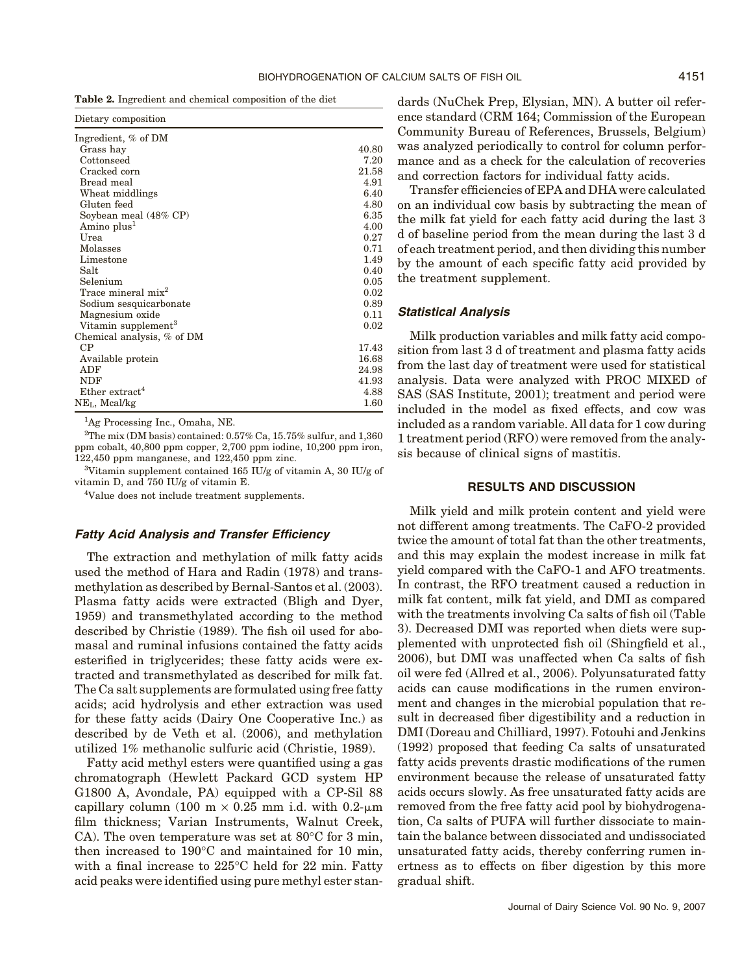**Table 2.** Ingredient and chemical composition of the diet

| Dietary composition             |       |
|---------------------------------|-------|
| Ingredient, $%$ of DM           |       |
| Grass hay                       | 40.80 |
| Cottonseed                      | 7.20  |
| Cracked corn                    | 21.58 |
| Bread meal                      | 4.91  |
| Wheat middlings                 | 6.40  |
| Gluten feed                     | 4.80  |
| Soybean meal (48% CP)           | 6.35  |
| Amino plus <sup>1</sup>         | 4.00  |
| Urea                            | 0.27  |
| <b>Molasses</b>                 | 0.71  |
| Limestone                       | 1.49  |
| Salt                            | 0.40  |
| Selenium                        | 0.05  |
| Trace mineral $mix^2$           | 0.02  |
| Sodium sesquicarbonate          | 0.89  |
| Magnesium oxide                 | 0.11  |
| Vitamin supplement <sup>3</sup> | 0.02  |
| Chemical analysis, % of DM      |       |
| CP                              | 17.43 |
| Available protein               | 16.68 |
| ADF                             | 24.98 |
| NDF                             | 41.93 |
| Ether extract <sup>4</sup>      | 4.88  |
| $NE_{L}$ , Mcal/kg              | 1.60  |

<sup>1</sup>Ag Processing Inc., Omaha, NE.

 $^{2}$ The mix (DM basis) contained: 0.57% Ca, 15.75% sulfur, and 1,360  $\,$ ppm cobalt, 40,800 ppm copper, 2,700 ppm iodine, 10,200 ppm iron, 122,450 ppm manganese, and 122,450 ppm zinc.

3 Vitamin supplement contained 165 IU/g of vitamin A, 30 IU/g of vitamin D, and 750 IU/g of vitamin E.

4 Value does not include treatment supplements.

#### *Fatty Acid Analysis and Transfer Efficiency*

The extraction and methylation of milk fatty acids used the method of Hara and Radin (1978) and transmethylation as described by Bernal-Santos et al. (2003). Plasma fatty acids were extracted (Bligh and Dyer, 1959) and transmethylated according to the method described by Christie (1989). The fish oil used for abomasal and ruminal infusions contained the fatty acids esterified in triglycerides; these fatty acids were extracted and transmethylated as described for milk fat. The Ca salt supplements are formulated using free fatty acids; acid hydrolysis and ether extraction was used for these fatty acids (Dairy One Cooperative Inc.) as described by de Veth et al. (2006), and methylation utilized 1% methanolic sulfuric acid (Christie, 1989).

Fatty acid methyl esters were quantified using a gas chromatograph (Hewlett Packard GCD system HP G1800 A, Avondale, PA) equipped with a CP-Sil 88 capillary column (100 m  $\times$  0.25 mm i.d. with 0.2- $\mu$ m film thickness; Varian Instruments, Walnut Creek, CA). The oven temperature was set at 80°C for 3 min, then increased to 190°C and maintained for 10 min, with a final increase to 225°C held for 22 min. Fatty acid peaks were identified using pure methyl ester standards (NuChek Prep, Elysian, MN). A butter oil reference standard (CRM 164; Commission of the European Community Bureau of References, Brussels, Belgium) was analyzed periodically to control for column performance and as a check for the calculation of recoveries and correction factors for individual fatty acids.

Transfer efficiencies of EPA and DHA were calculated on an individual cow basis by subtracting the mean of the milk fat yield for each fatty acid during the last 3 d of baseline period from the mean during the last 3 d of each treatment period, and then dividing this number by the amount of each specific fatty acid provided by the treatment supplement.

### *Statistical Analysis*

Milk production variables and milk fatty acid composition from last 3 d of treatment and plasma fatty acids from the last day of treatment were used for statistical analysis. Data were analyzed with PROC MIXED of SAS (SAS Institute, 2001); treatment and period were included in the model as fixed effects, and cow was included as a random variable. All data for 1 cow during 1 treatment period (RFO) were removed from the analysis because of clinical signs of mastitis.

# **RESULTS AND DISCUSSION**

Milk yield and milk protein content and yield were not different among treatments. The CaFO-2 provided twice the amount of total fat than the other treatments, and this may explain the modest increase in milk fat yield compared with the CaFO-1 and AFO treatments. In contrast, the RFO treatment caused a reduction in milk fat content, milk fat yield, and DMI as compared with the treatments involving Ca salts of fish oil (Table 3). Decreased DMI was reported when diets were supplemented with unprotected fish oil (Shingfield et al., 2006), but DMI was unaffected when Ca salts of fish oil were fed (Allred et al., 2006). Polyunsaturated fatty acids can cause modifications in the rumen environment and changes in the microbial population that result in decreased fiber digestibility and a reduction in DMI (Doreau and Chilliard, 1997). Fotouhi and Jenkins (1992) proposed that feeding Ca salts of unsaturated fatty acids prevents drastic modifications of the rumen environment because the release of unsaturated fatty acids occurs slowly. As free unsaturated fatty acids are removed from the free fatty acid pool by biohydrogenation, Ca salts of PUFA will further dissociate to maintain the balance between dissociated and undissociated unsaturated fatty acids, thereby conferring rumen inertness as to effects on fiber digestion by this more gradual shift.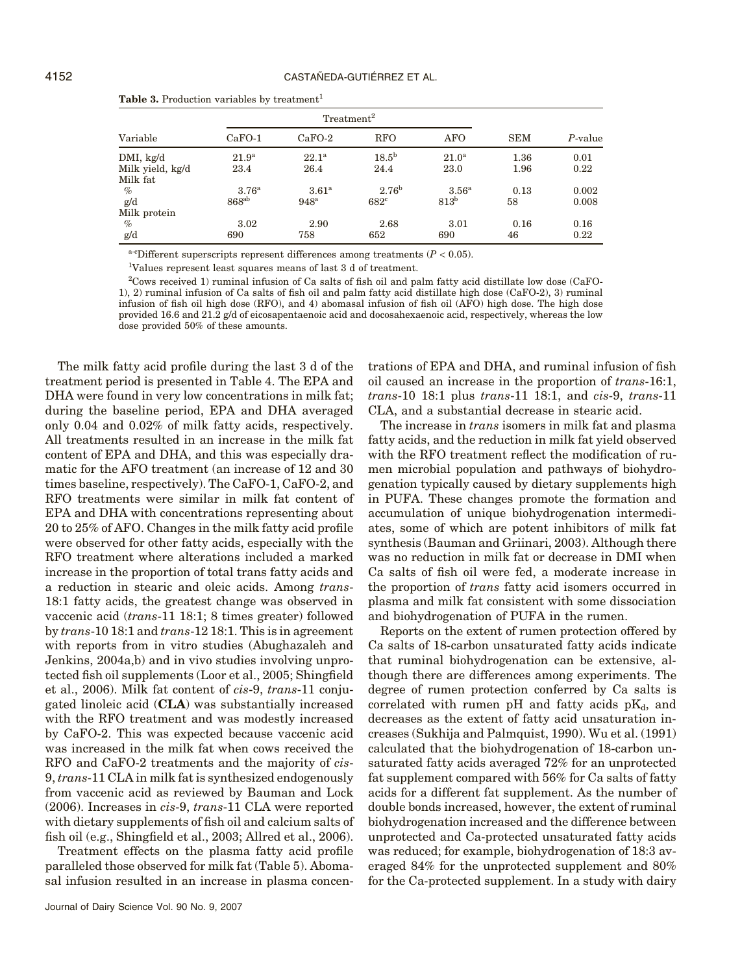|                  |                   | Treatment <sup>2</sup> |                   |                   |            |         |
|------------------|-------------------|------------------------|-------------------|-------------------|------------|---------|
| Variable         | $CaFO-1$          | $CaFO-2$               | <b>RFO</b>        | AFO               | <b>SEM</b> | P-value |
| DMI, kg/d        | 21.9 <sup>a</sup> | $22.1^{\rm a}$         | 18.5 <sup>b</sup> | $21.0^{\rm a}$    | 1.36       | 0.01    |
| Milk yield, kg/d | 23.4              | 26.4                   | 24.4              | 23.0              | 1.96       | 0.22    |
| Milk fat         |                   |                        |                   |                   |            |         |
| $\%$             | 3.76 <sup>a</sup> | 3.61 <sup>a</sup>      | $2.76^{b}$        | 3.56 <sup>a</sup> | 0.13       | 0.002   |
| g/d              | $868^{ab}$        | $948^{\mathrm{a}}$     | $682^{\circ}$     | 813 <sup>b</sup>  | 58         | 0.008   |
| Milk protein     |                   |                        |                   |                   |            |         |
| $\%$             | 3.02              | 2.90                   | 2.68              | 3.01              | 0.16       | 0.16    |
| g/d              | 690               | 758                    | 652               | 690               | 46         | 0.22    |

Table 3. Production variables by treatment<sup>1</sup>

a-cDifferent superscripts represent differences among treatments  $(P < 0.05)$ .

1 Values represent least squares means of last 3 d of treatment.

2 Cows received 1) ruminal infusion of Ca salts of fish oil and palm fatty acid distillate low dose (CaFO-1), 2) ruminal infusion of Ca salts of fish oil and palm fatty acid distillate high dose (CaFO-2), 3) ruminal infusion of fish oil high dose (RFO), and 4) abomasal infusion of fish oil (AFO) high dose. The high dose provided 16.6 and 21.2 g/d of eicosapentaenoic acid and docosahexaenoic acid, respectively, whereas the low dose provided 50% of these amounts.

The milk fatty acid profile during the last 3 d of the treatment period is presented in Table 4. The EPA and DHA were found in very low concentrations in milk fat; during the baseline period, EPA and DHA averaged only 0.04 and 0.02% of milk fatty acids, respectively. All treatments resulted in an increase in the milk fat content of EPA and DHA, and this was especially dramatic for the AFO treatment (an increase of 12 and 30 times baseline, respectively). The CaFO-1, CaFO-2, and RFO treatments were similar in milk fat content of EPA and DHA with concentrations representing about 20 to 25% of AFO. Changes in the milk fatty acid profile were observed for other fatty acids, especially with the RFO treatment where alterations included a marked increase in the proportion of total trans fatty acids and a reduction in stearic and oleic acids. Among *trans*-18:1 fatty acids, the greatest change was observed in vaccenic acid (*trans*-11 18:1; 8 times greater) followed by *trans*-10 18:1 and *trans*-12 18:1. This is in agreement with reports from in vitro studies (Abughazaleh and Jenkins, 2004a,b) and in vivo studies involving unprotected fish oil supplements (Loor et al., 2005; Shingfield et al., 2006). Milk fat content of *cis*-9, *trans*-11 conjugated linoleic acid (**CLA**) was substantially increased with the RFO treatment and was modestly increased by CaFO-2. This was expected because vaccenic acid was increased in the milk fat when cows received the RFO and CaFO-2 treatments and the majority of *cis*-9, *trans*-11 CLA in milk fat is synthesized endogenously from vaccenic acid as reviewed by Bauman and Lock (2006). Increases in *cis*-9, *trans*-11 CLA were reported with dietary supplements of fish oil and calcium salts of fish oil (e.g., Shingfield et al., 2003; Allred et al., 2006).

Treatment effects on the plasma fatty acid profile paralleled those observed for milk fat (Table 5). Abomasal infusion resulted in an increase in plasma concen-

trations of EPA and DHA, and ruminal infusion of fish oil caused an increase in the proportion of *trans*-16:1, *trans*-10 18:1 plus *trans*-11 18:1, and *cis*-9, *trans*-11 CLA, and a substantial decrease in stearic acid.

The increase in *trans* isomers in milk fat and plasma fatty acids, and the reduction in milk fat yield observed with the RFO treatment reflect the modification of rumen microbial population and pathways of biohydrogenation typically caused by dietary supplements high in PUFA. These changes promote the formation and accumulation of unique biohydrogenation intermediates, some of which are potent inhibitors of milk fat synthesis (Bauman and Griinari, 2003). Although there was no reduction in milk fat or decrease in DMI when Ca salts of fish oil were fed, a moderate increase in the proportion of *trans* fatty acid isomers occurred in plasma and milk fat consistent with some dissociation and biohydrogenation of PUFA in the rumen.

Reports on the extent of rumen protection offered by Ca salts of 18-carbon unsaturated fatty acids indicate that ruminal biohydrogenation can be extensive, although there are differences among experiments. The degree of rumen protection conferred by Ca salts is correlated with rumen pH and fatty acids  $pK_d$ , and decreases as the extent of fatty acid unsaturation increases (Sukhija and Palmquist, 1990). Wu et al. (1991) calculated that the biohydrogenation of 18-carbon unsaturated fatty acids averaged 72% for an unprotected fat supplement compared with 56% for Ca salts of fatty acids for a different fat supplement. As the number of double bonds increased, however, the extent of ruminal biohydrogenation increased and the difference between unprotected and Ca-protected unsaturated fatty acids was reduced; for example, biohydrogenation of 18:3 averaged 84% for the unprotected supplement and 80% for the Ca-protected supplement. In a study with dairy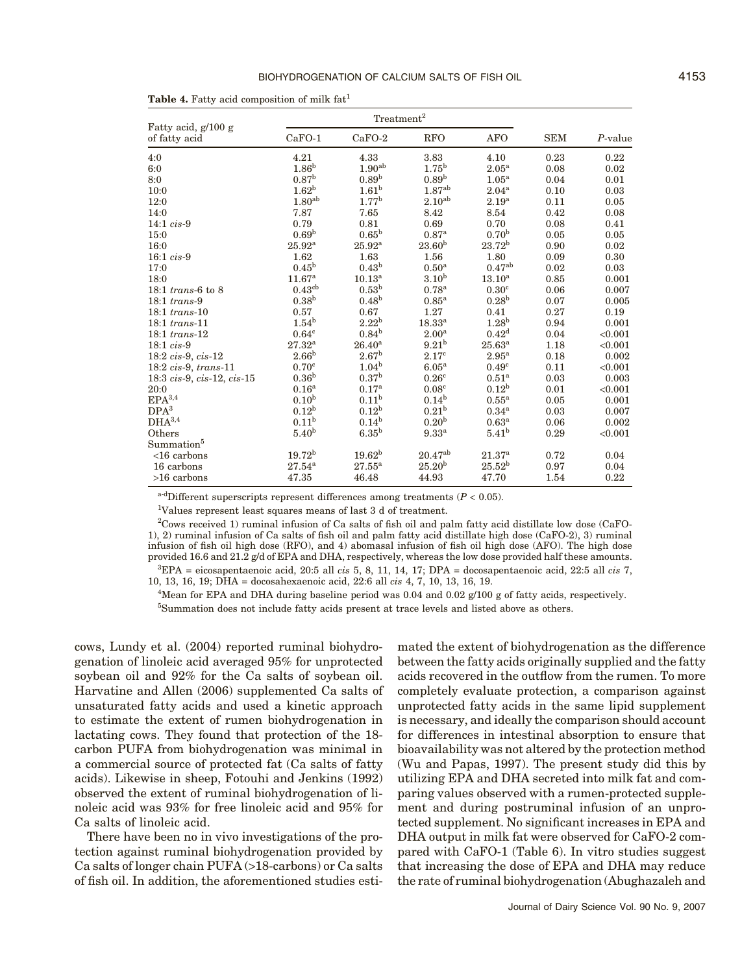|                                      |                    | Treatment <sup>2</sup> |                    |                     |            |            |
|--------------------------------------|--------------------|------------------------|--------------------|---------------------|------------|------------|
| Fatty acid, g/100 g<br>of fatty acid | $CaFO-1$           | $CaFO-2$               | <b>RFO</b>         | <b>AFO</b>          | <b>SEM</b> | $P$ -value |
| 4:0                                  | 4.21               | 4.33                   | 3.83               | 4.10                | 0.23       | 0.22       |
| 6:0                                  | 1.86 <sup>b</sup>  | $1.90^{ab}$            | 1.75 <sup>b</sup>  | 2.05 <sup>a</sup>   | 0.08       | 0.02       |
| 8:0                                  | 0.87 <sup>b</sup>  | 0.89 <sup>b</sup>      | 0.89 <sup>b</sup>  | 1.05 <sup>a</sup>   | 0.04       | 0.01       |
| 10:0                                 | 1.62 <sup>b</sup>  | 1.61 <sup>b</sup>      | 1.87 <sup>ab</sup> | $2.04^{\rm a}$      | 0.10       | 0.03       |
| 12:0                                 | $1.80^{ab}$        | 1.77 <sup>b</sup>      | $2.10^{ab}$        | $2.19^{a}$          | 0.11       | 0.05       |
| 14:0                                 | 7.87               | 7.65                   | 8.42               | 8.54                | 0.42       | 0.08       |
| 14:1 cis-9                           | 0.79               | 0.81                   | 0.69               | 0.70                | 0.08       | 0.41       |
| 15:0                                 | 0.69 <sup>b</sup>  | 0.65 <sup>b</sup>      | 0.87 <sup>a</sup>  | 0.70 <sup>b</sup>   | 0.05       | 0.05       |
| 16:0                                 | $25.92^{\rm a}$    | $25.92^{\rm a}$        | 23.60 <sup>b</sup> | $23.72^{b}$         | 0.90       | 0.02       |
| $16:1$ $cis-9$                       | 1.62               | 1.63                   | 1.56               | 1.80                | 0.09       | 0.30       |
| 17:0                                 | 0.45 <sup>b</sup>  | 0.43 <sup>b</sup>      | 0.50 <sup>a</sup>  | 0.47 <sup>ab</sup>  | 0.02       | 0.03       |
| 18:0                                 | 11.67 <sup>a</sup> | $10.13^{a}$            | 3.10 <sup>b</sup>  | $13.10^a$           | 0.85       | 0.001      |
| 18:1 trans-6 to 8                    | 0.43 <sup>cb</sup> | 0.53 <sup>b</sup>      | 0.78 <sup>a</sup>  | 0.30 <sup>c</sup>   | 0.06       | 0.007      |
| $18:1$ trans-9                       | 0.38 <sup>b</sup>  | 0.48 <sup>b</sup>      | 0.85 <sup>a</sup>  | 0.28 <sup>b</sup>   | 0.07       | 0.005      |
| $18:1$ trans-10                      | 0.57               | 0.67                   | 1.27               | 0.41                | 0.27       | 0.19       |
| $18:1$ trans- $11$                   | $1.54^{\rm b}$     | $2.22^{\rm b}$         | $18.33^{a}$        | 1.28 <sup>b</sup>   | 0.94       | 0.001      |
| $18:1$ trans- $12$                   | $0.64^c$           | $0.84^{b}$             | 2.00 <sup>a</sup>  | $0.42^d$            | 0.04       | < 0.001    |
| $18:1 \; cis - 9$                    | $27.32^{a}$        | $26.40^{\rm a}$        | $9.21^{b}$         | $25.63^{a}$         | 1.18       | < 0.001    |
| 18:2 cis-9, cis-12                   | $2.66^{\rm b}$     | 2.67 <sup>b</sup>      | 2.17 <sup>c</sup>  | $2.95^{\mathrm{a}}$ | 0.18       | 0.002      |
| $18:2$ cis-9, trans-11               | 0.70 <sup>c</sup>  | $1.04^{b}$             | 6.05 <sup>a</sup>  | 0.49 <sup>c</sup>   | 0.11       | < 0.001    |
| 18:3 cis-9, cis-12, cis-15           | 0.36 <sup>b</sup>  | 0.37 <sup>b</sup>      | $0.26^{\circ}$     | 0.51 <sup>a</sup>   | 0.03       | 0.003      |
| 20:0                                 | 0.16 <sup>a</sup>  | 0.17 <sup>a</sup>      | 0.08 <sup>c</sup>  | 0.12 <sup>b</sup>   | 0.01       | < 0.001    |
| $EPA^{3,4}$                          | 0.10 <sup>b</sup>  | 0.11 <sup>b</sup>      | $0.14^{b}$         | $0.55$ <sup>a</sup> | 0.05       | 0.001      |
| DPA <sup>3</sup>                     | $0.12^{b}$         | 0.12 <sup>b</sup>      | 0.21 <sup>b</sup>  | $0.34^{a}$          | 0.03       | 0.007      |
| $DHA^{3,4}$                          | 0.11 <sup>b</sup>  | $0.14^{b}$             | 0.20 <sup>b</sup>  | 0.63 <sup>a</sup>   | 0.06       | 0.002      |
| Others                               | 5.40 <sup>b</sup>  | 6.35 <sup>b</sup>      | 9.33 <sup>a</sup>  | 5.41 <sup>b</sup>   | 0.29       | < 0.001    |
| Summation <sup>5</sup>               |                    |                        |                    |                     |            |            |
| $<$ 16 carbons                       | $19.72^{b}$        | $19.62^{b}$            | $20.47^{ab}$       | $21.37^{a}$         | 0.72       | 0.04       |
| 16 carbons                           | $27.54^{\rm a}$    | $27.55^{\rm a}$        | $25.20^{b}$        | $25.52^{\rm b}$     | 0.97       | 0.04       |
| $>16$ carbons                        | 47.35              | 46.48                  | 44.93              | 47.70               | 1.54       | 0.22       |

**Table 4.** Fatty acid composition of milk  $fat<sup>1</sup>$ 

a-dDifferent superscripts represent differences among treatments ( $P < 0.05$ ).

<sup>1</sup>Values represent least squares means of last 3 d of treatment.

<sup>2</sup>Cows received 1) ruminal infusion of Ca salts of fish oil and palm fatty acid distillate low dose (CaFO-1), 2) ruminal infusion of Ca salts of fish oil and palm fatty acid distillate high dose (CaFO-2), 3) ruminal infusion of fish oil high dose (RFO), and 4) abomasal infusion of fish oil high dose (AFO). The high dose provided 16.6 and 21.2  $g/d$  of EPA and DHA, respectively, whereas the low dose provided half these amounts.  ${}^{3}EPA$  = eicosapentaenoic acid, 20:5 all cis 5, 8, 11, 14, 17; DPA = docosapentaenoic acid, 22:5 all cis 7,

10, 13, 16, 19; DHA = docosahexaenoic acid, 22:6 all cis 4, 7, 10, 13, 16, 19.

<sup>4</sup>Mean for EPA and DHA during baseline period was 0.04 and 0.02  $g/100 g$  of fatty acids, respectively. <sup>5</sup>Summation does not include fatty acids present at trace levels and listed above as others.

cows, Lundy et al. (2004) reported ruminal biohydrogenation of linoleic acid averaged 95% for unprotected soybean oil and 92% for the Ca salts of soybean oil. Harvatine and Allen (2006) supplemented Ca salts of unsaturated fatty acids and used a kinetic approach to estimate the extent of rumen biohydrogenation in lactating cows. They found that protection of the 18carbon PUFA from biohydrogenation was minimal in a commercial source of protected fat (Ca salts of fatty acids). Likewise in sheep, Fotouhi and Jenkins (1992) observed the extent of ruminal biohydrogenation of linoleic acid was 93% for free linoleic acid and 95% for Ca salts of linoleic acid.

There have been no in vivo investigations of the protection against ruminal biohydrogenation provided by Ca salts of longer chain  $PUFA$  (>18-carbons) or Ca salts of fish oil. In addition, the aforementioned studies estimated the extent of biohydrogenation as the difference between the fatty acids originally supplied and the fatty acids recovered in the outflow from the rumen. To more completely evaluate protection, a comparison against unprotected fatty acids in the same lipid supplement is necessary, and ideally the comparison should account for differences in intestinal absorption to ensure that bioavailability was not altered by the protection method (Wu and Papas, 1997). The present study did this by utilizing EPA and DHA secreted into milk fat and comparing values observed with a rumen-protected supplement and during postruminal infusion of an unprotected supplement. No significant increases in EPA and DHA output in milk fat were observed for CaFO-2 compared with CaFO-1 (Table 6). In vitro studies suggest that increasing the dose of EPA and DHA may reduce the rate of ruminal biohydrogenation (Abughazaleh and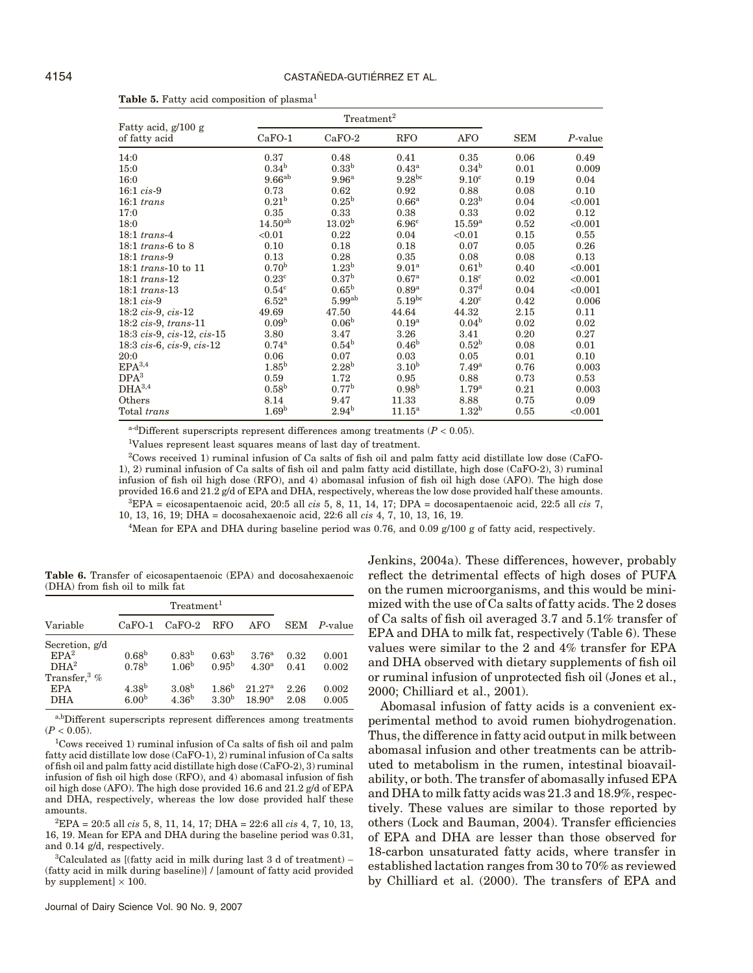|                                      |                     | Treatment <sup>2</sup> |                   |                    |            |         |  |
|--------------------------------------|---------------------|------------------------|-------------------|--------------------|------------|---------|--|
| Fatty acid, g/100 g<br>of fatty acid | $CaFO-1$            | $CaFO-2$               | <b>RFO</b>        | <b>AFO</b>         | <b>SEM</b> | P-value |  |
| 14:0                                 | 0.37                | 0.48                   | 0.41              | 0.35               | 0.06       | 0.49    |  |
| 15:0                                 | 0.34 <sup>b</sup>   | 0.33 <sup>b</sup>      | 0.43 <sup>a</sup> | 0.34 <sup>b</sup>  | 0.01       | 0.009   |  |
| 16:0                                 | $9.66^{ab}$         | 9.96 <sup>a</sup>      | $9.28^{bc}$       | 9.10 <sup>c</sup>  | 0.19       | 0.04    |  |
| $16:1 \; cis - 9$                    | 0.73                | 0.62                   | 0.92              | 0.88               | 0.08       | 0.10    |  |
| $16:1$ trans                         | 0.21 <sup>b</sup>   | $0.25^{\rm b}$         | 0.66 <sup>a</sup> | 0.23 <sup>b</sup>  | 0.04       | < 0.001 |  |
| 17:0                                 | 0.35                | 0.33                   | 0.38              | 0.33               | 0.02       | 0.12    |  |
| 18:0                                 | 14.50 <sup>ab</sup> | $13.02^{\rm b}$        | 6.96 <sup>c</sup> | 15.59 <sup>a</sup> | 0.52       | < 0.001 |  |
| $18:1$ trans-4                       | < 0.01              | 0.22                   | 0.04              | < 0.01             | 0.15       | 0.55    |  |
| 18:1 $trans-6$ to 8                  | 0.10                | 0.18                   | 0.18              | 0.07               | 0.05       | 0.26    |  |
| $18:1$ trans-9                       | 0.13                | 0.28                   | 0.35              | 0.08               | 0.08       | 0.13    |  |
| 18:1 <i>trans</i> -10 to 11          | 0.70 <sup>b</sup>   | 1.23 <sup>b</sup>      | 9.01 <sup>a</sup> | 0.61 <sup>b</sup>  | 0.40       | < 0.001 |  |
| $18:1$ trans- $12$                   | 0.23 <sup>c</sup>   | 0.37 <sup>b</sup>      | 0.67 <sup>a</sup> | 0.18 <sup>c</sup>  | 0.02       | < 0.001 |  |
| $18:1$ trans- $13$                   | $0.54^{\circ}$      | 0.65 <sup>b</sup>      | 0.89 <sup>a</sup> | 0.37 <sup>d</sup>  | 0.04       | < 0.001 |  |
| $18:1 \; cis - 9$                    | 6.52 <sup>a</sup>   | 5.99 <sup>ab</sup>     | $5.19^{bc}$       | 4.20 <sup>c</sup>  | 0.42       | 0.006   |  |
| 18:2 cis-9, cis-12                   | 49.69               | 47.50                  | 44.64             | 44.32              | 2.15       | 0.11    |  |
| $18:2$ cis-9, trans- $11$            | 0.09 <sup>b</sup>   | 0.06 <sup>b</sup>      | $0.19^{a}$        | $0.04^{b}$         | 0.02       | 0.02    |  |
| 18:3 cis-9, cis-12, cis-15           | 3.80                | 3.47                   | 3.26              | 3.41               | 0.20       | 0.27    |  |
| 18:3 cis-6, cis-9, cis-12            | $0.74^{\rm a}$      | $0.54^{\rm b}$         | 0.46 <sup>b</sup> | $0.52^{b}$         | 0.08       | 0.01    |  |
| 20:0                                 | 0.06                | 0.07                   | 0.03              | 0.05               | 0.01       | 0.10    |  |
| $\mathrm{EPA}^{3,4}$                 | $1.85^{\rm b}$      | $2.28^{b}$             | 3.10 <sup>b</sup> | $7.49^{a}$         | 0.76       | 0.003   |  |
| $\mathrm{DPA}^3$                     | 0.59                | 1.72                   | 0.95              | 0.88               | 0.73       | 0.53    |  |
| $\rm{DHA^{3,4}}$                     | 0.58 <sup>b</sup>   | 0.77 <sup>b</sup>      | 0.98 <sup>b</sup> | 1.79 <sup>a</sup>  | 0.21       | 0.003   |  |
| Others                               | 8.14                | 9.47                   | 11.33             | 8.88               | 0.75       | 0.09    |  |
| Total <i>trans</i>                   | 1.69 <sup>b</sup>   | $2.94^{b}$             | $11.15^{\rm a}$   | 1.32 <sup>b</sup>  | 0.55       | < 0.001 |  |

Table 5. Fatty acid composition of plasma<sup>1</sup>

<sup>a-d</sup>Different superscripts represent differences among treatments ( $P < 0.05$ ).

<sup>1</sup>Values represent least squares means of last day of treatment.

 ${}^{2}$ Cows received 1) ruminal infusion of Ca salts of fish oil and palm fatty acid distillate low dose (CaFO-1), 2) ruminal infusion of Ca salts of fish oil and palm fatty acid distillate, high dose (CaFO-2), 3) ruminal infusion of fish oil high dose (RFO), and 4) abomasal infusion of fish oil high dose (AFO). The high dose provided 16.6 and 21.2  $g/d$  of EPA and DHA, respectively, whereas the low dose provided half these amounts.

 ${}^{3}EPA$  = eicosapentaenoic acid, 20:5 all cis 5, 8, 11, 14, 17; DPA = docosapentaenoic acid, 22:5 all cis 7,

10, 13, 16, 19; DHA = docosahexaenoic acid, 22:6 all cis 4, 7, 10, 13, 16, 19.

<sup>4</sup>Mean for EPA and DHA during baseline period was 0.76, and 0.09  $g/100 g$  of fatty acid, respectively.

|  |  | <b>Table 6.</b> Transfer of eicosapentaenoic (EPA) and docosahexaenoic |  |  |  |
|--|--|------------------------------------------------------------------------|--|--|--|
|  |  | (DHA) from fish oil to milk fat                                        |  |  |  |

|                                                        |                                     | Treatment <sup>1</sup>                 |                                        |                                        |              |                |
|--------------------------------------------------------|-------------------------------------|----------------------------------------|----------------------------------------|----------------------------------------|--------------|----------------|
| Variable                                               | CaFO-1                              | $CaFO-2$                               | <b>RFO</b>                             | AFO                                    | SEM          | $P$ -value     |
| Secretion, g/d<br>EPA <sup>2</sup><br>DHA <sup>2</sup> | 0.68 <sup>b</sup><br>$0.78^{\rm b}$ | $0.83^{b}$<br>1.06 <sup>b</sup>        | 0.63 <sup>b</sup><br>$0.95^{b}$        | 3.76 <sup>a</sup><br>4.30 <sup>a</sup> | 0.32<br>0.41 | 0.001<br>0.002 |
| Transfer, 3%<br><b>EPA</b><br><b>DHA</b>               | $4.38^{b}$<br>6.00 <sup>b</sup>     | 3.08 <sup>b</sup><br>4.36 <sup>b</sup> | 1.86 <sup>b</sup><br>3.30 <sup>b</sup> | 21.27 <sup>a</sup><br>$18.90^{\rm a}$  | 2.26<br>2.08 | 0.002<br>0.005 |

a,bDifferent superscripts represent differences among treatments  $(P < 0.05)$ .

 ${}^{1}$ Cows received 1) ruminal infusion of Ca salts of fish oil and palm fatty acid distillate low dose (CaFO-1), 2) ruminal infusion of Ca salts of fish oil and palm fatty acid distillate high dose (CaFO-2), 3) ruminal infusion of fish oil high dose (RFO), and 4) abomasal infusion of fish oil high dose (AFO). The high dose provided 16.6 and 21.2 g/d of EPA and DHA, respectively, whereas the low dose provided half these amounts.

 ${}^{2}EPA = 20:5$  all *cis* 5, 8, 11, 14, 17; DHA = 22:6 all *cis* 4, 7, 10, 13, 16, 19. Mean for EPA and DHA during the baseline period was 0.31, and  $0.14$  g/d, respectively.

 ${}^{3}$ Calculated as [(fatty acid in milk during last 3 d of treatment) – (fatty acid in milk during baseline)] / [amount of fatty acid provided by supplement $] \times 100$ .

Journal of Dairy Science Vol. 90 No. 9, 2007

Jenkins, 2004a). These differences, however, probably reflect the detrimental effects of high doses of PUFA on the rumen microorganisms, and this would be minimized with the use of Ca salts of fatty acids. The 2 doses of Ca salts of fish oil averaged 3.7 and 5.1% transfer of EPA and DHA to milk fat, respectively (Table 6). These values were similar to the 2 and 4% transfer for EPA and DHA observed with dietary supplements of fish oil or ruminal infusion of unprotected fish oil (Jones et al., 2000; Chilliard et al., 2001).

Abomasal infusion of fatty acids is a convenient experimental method to avoid rumen biohydrogenation. Thus, the difference in fatty acid output in milk between abomasal infusion and other treatments can be attributed to metabolism in the rumen, intestinal bioavailability, or both. The transfer of abomasally infused EPA and DHA to milk fatty acids was 21.3 and 18.9%, respectively. These values are similar to those reported by others (Lock and Bauman, 2004). Transfer efficiencies of EPA and DHA are lesser than those observed for 18-carbon unsaturated fatty acids, where transfer in established lactation ranges from 30 to 70% as reviewed by Chilliard et al. (2000). The transfers of EPA and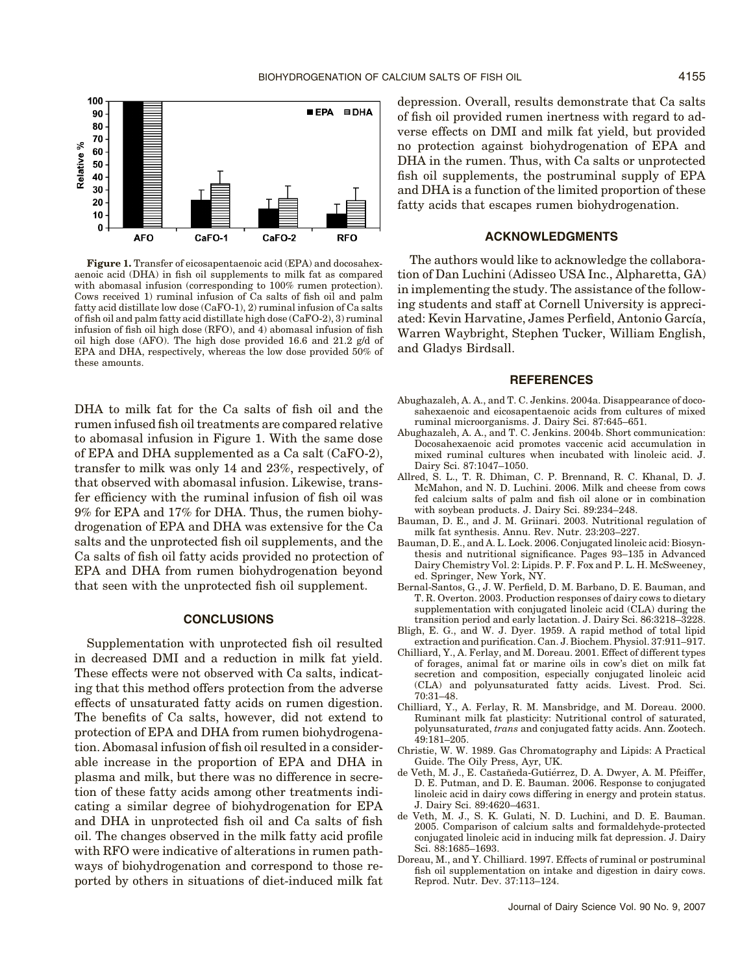

**Figure 1.** Transfer of eicosapentaenoic acid (EPA) and docosahexaenoic acid (DHA) in fish oil supplements to milk fat as compared with abomasal infusion (corresponding to 100% rumen protection). Cows received 1) ruminal infusion of Ca salts of fish oil and palm fatty acid distillate low dose (CaFO-1), 2) ruminal infusion of Ca salts of fish oil and palm fatty acid distillate high dose (CaFO-2), 3) ruminal infusion of fish oil high dose (RFO), and 4) abomasal infusion of fish oil high dose (AFO). The high dose provided 16.6 and 21.2 g/d of EPA and DHA, respectively, whereas the low dose provided 50% of these amounts.

DHA to milk fat for the Ca salts of fish oil and the rumen infused fish oil treatments are compared relative to abomasal infusion in Figure 1. With the same dose of EPA and DHA supplemented as a Ca salt (CaFO-2), transfer to milk was only 14 and 23%, respectively, of that observed with abomasal infusion. Likewise, transfer efficiency with the ruminal infusion of fish oil was 9% for EPA and 17% for DHA. Thus, the rumen biohydrogenation of EPA and DHA was extensive for the Ca salts and the unprotected fish oil supplements, and the Ca salts of fish oil fatty acids provided no protection of EPA and DHA from rumen biohydrogenation beyond that seen with the unprotected fish oil supplement.

#### **CONCLUSIONS**

Supplementation with unprotected fish oil resulted in decreased DMI and a reduction in milk fat yield. These effects were not observed with Ca salts, indicating that this method offers protection from the adverse effects of unsaturated fatty acids on rumen digestion. The benefits of Ca salts, however, did not extend to protection of EPA and DHA from rumen biohydrogenation. Abomasal infusion of fish oil resulted in a considerable increase in the proportion of EPA and DHA in plasma and milk, but there was no difference in secretion of these fatty acids among other treatments indicating a similar degree of biohydrogenation for EPA and DHA in unprotected fish oil and Ca salts of fish oil. The changes observed in the milk fatty acid profile with RFO were indicative of alterations in rumen pathways of biohydrogenation and correspond to those reported by others in situations of diet-induced milk fat depression. Overall, results demonstrate that Ca salts of fish oil provided rumen inertness with regard to adverse effects on DMI and milk fat yield, but provided no protection against biohydrogenation of EPA and DHA in the rumen. Thus, with Ca salts or unprotected fish oil supplements, the postruminal supply of EPA and DHA is a function of the limited proportion of these fatty acids that escapes rumen biohydrogenation.

# **ACKNOWLEDGMENTS**

The authors would like to acknowledge the collaboration of Dan Luchini (Adisseo USA Inc., Alpharetta, GA) in implementing the study. The assistance of the following students and staff at Cornell University is appreciated: Kevin Harvatine, James Perfield, Antonio García, Warren Waybright, Stephen Tucker, William English, and Gladys Birdsall.

#### **REFERENCES**

- Abughazaleh, A. A., and T. C. Jenkins. 2004a. Disappearance of docosahexaenoic and eicosapentaenoic acids from cultures of mixed ruminal microorganisms. J. Dairy Sci. 87:645–651.
- Abughazaleh, A. A., and T. C. Jenkins. 2004b. Short communication: Docosahexaenoic acid promotes vaccenic acid accumulation in mixed ruminal cultures when incubated with linoleic acid. J. Dairy Sci. 87:1047–1050.
- Allred, S. L., T. R. Dhiman, C. P. Brennand, R. C. Khanal, D. J. McMahon, and N. D. Luchini. 2006. Milk and cheese from cows fed calcium salts of palm and fish oil alone or in combination with soybean products. J. Dairy Sci. 89:234–248.
- Bauman, D. E., and J. M. Griinari. 2003. Nutritional regulation of milk fat synthesis. Annu. Rev. Nutr. 23:203–227.
- Bauman, D. E., and A. L. Lock. 2006. Conjugated linoleic acid: Biosynthesis and nutritional significance. Pages 93–135 in Advanced Dairy Chemistry Vol. 2: Lipids. P. F. Fox and P. L. H. McSweeney, ed. Springer, New York, NY.
- Bernal-Santos, G., J. W. Perfield, D. M. Barbano, D. E. Bauman, and T. R. Overton. 2003. Production responses of dairy cows to dietary supplementation with conjugated linoleic acid (CLA) during the transition period and early lactation. J. Dairy Sci. 86:3218–3228.
- Bligh, E. G., and W. J. Dyer. 1959. A rapid method of total lipid extraction and purification. Can. J. Biochem. Physiol. 37:911–917.
- Chilliard, Y., A. Ferlay, and M. Doreau. 2001. Effect of different types of forages, animal fat or marine oils in cow's diet on milk fat secretion and composition, especially conjugated linoleic acid (CLA) and polyunsaturated fatty acids. Livest. Prod. Sci. 70:31–48.
- Chilliard, Y., A. Ferlay, R. M. Mansbridge, and M. Doreau. 2000. Ruminant milk fat plasticity: Nutritional control of saturated, polyunsaturated, *trans* and conjugated fatty acids. Ann. Zootech. 49:181–205.
- Christie, W. W. 1989. Gas Chromatography and Lipids: A Practical Guide. The Oily Press, Ayr, UK.
- de Veth, M. J., E. Castañeda-Gutiérrez, D. A. Dwyer, A. M. Pfeiffer, D. E. Putman, and D. E. Bauman. 2006. Response to conjugated linoleic acid in dairy cows differing in energy and protein status. J. Dairy Sci. 89:4620–4631.
- de Veth, M. J., S. K. Gulati, N. D. Luchini, and D. E. Bauman. 2005. Comparison of calcium salts and formaldehyde-protected conjugated linoleic acid in inducing milk fat depression. J. Dairy Sci. 88:1685–1693.
- Doreau, M., and Y. Chilliard. 1997. Effects of ruminal or postruminal fish oil supplementation on intake and digestion in dairy cows. Reprod. Nutr. Dev. 37:113–124.